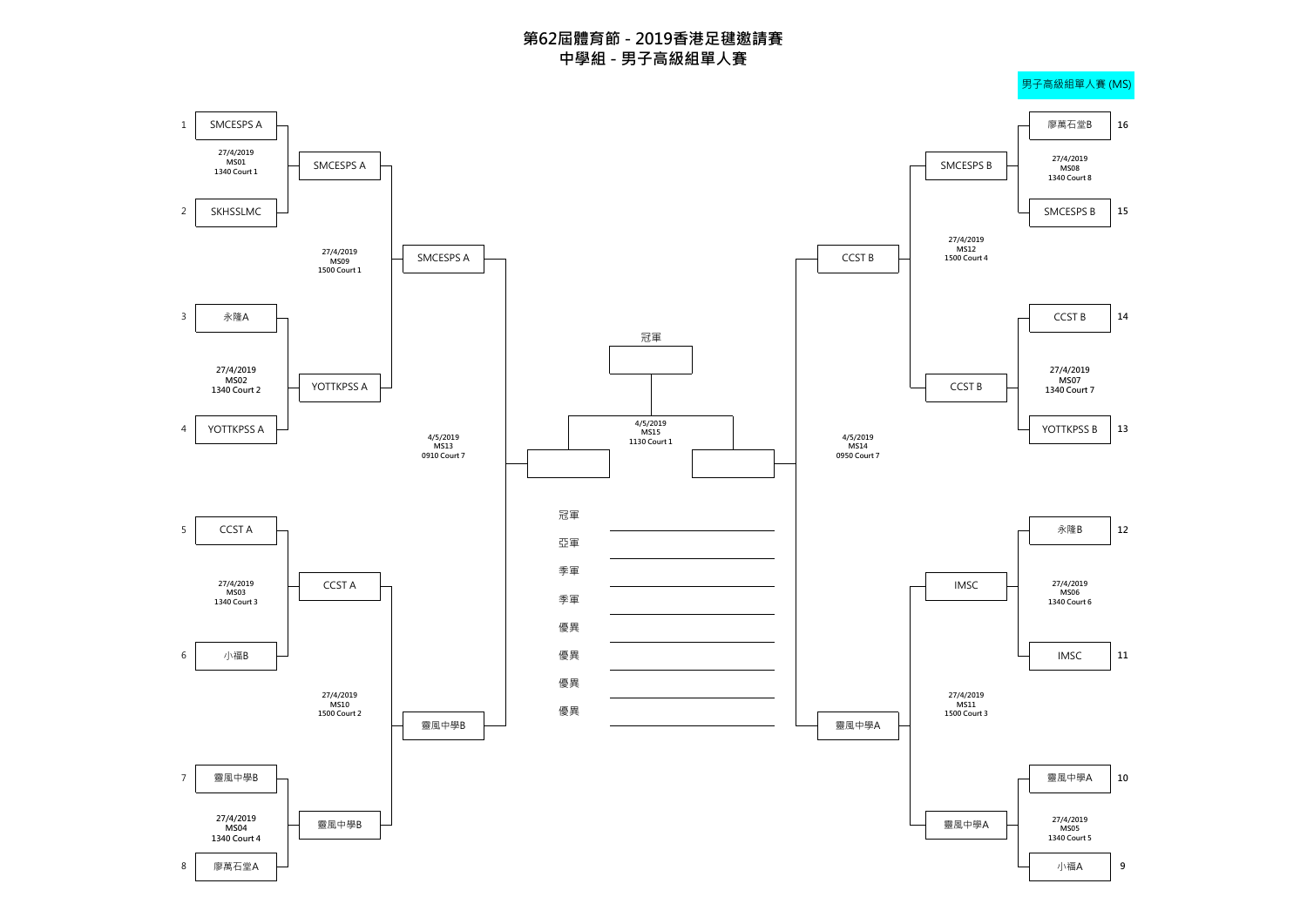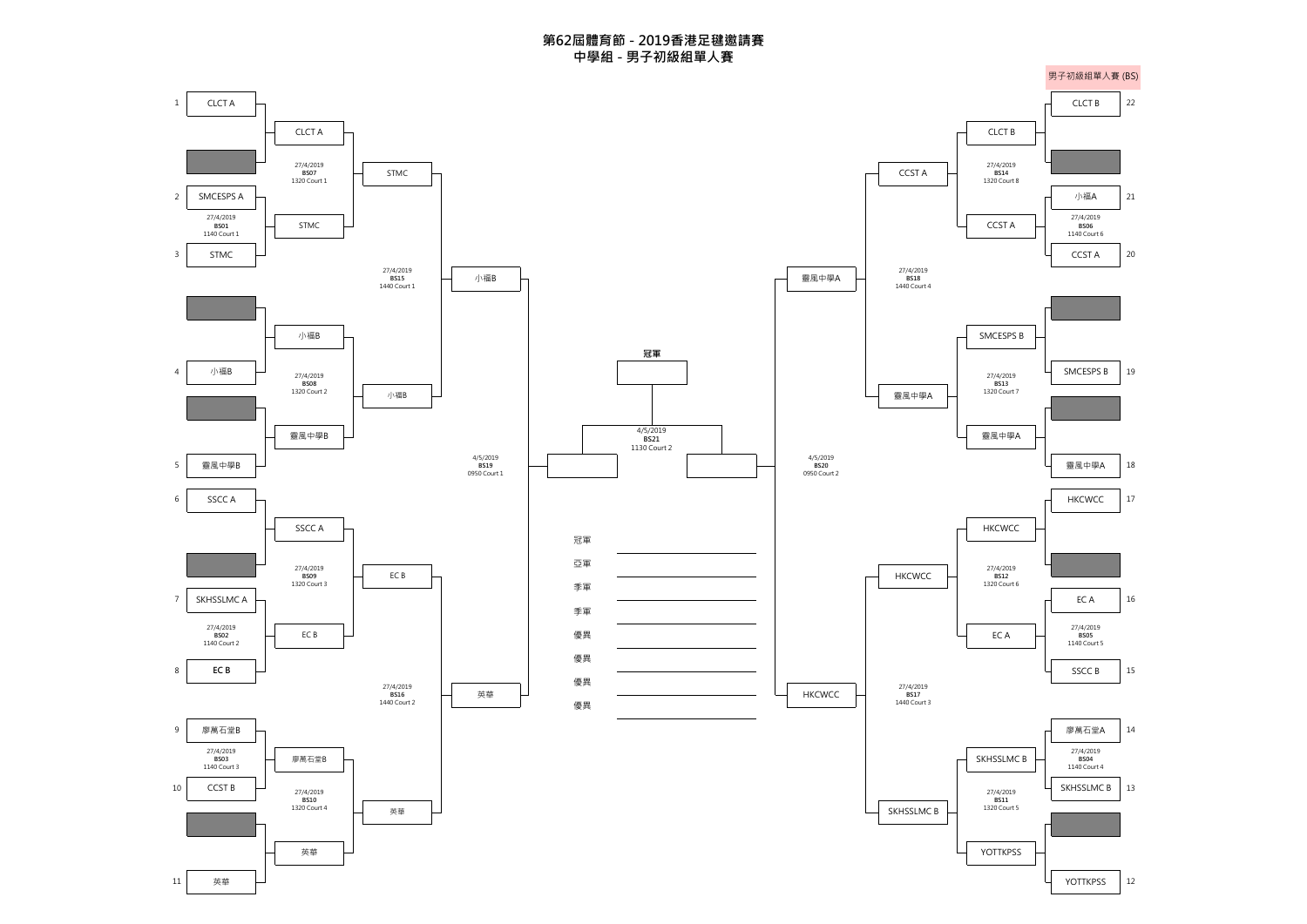**第62屆體育節 - 2019香港足毽邀請賽 中學組 - 男子初級組單人賽**

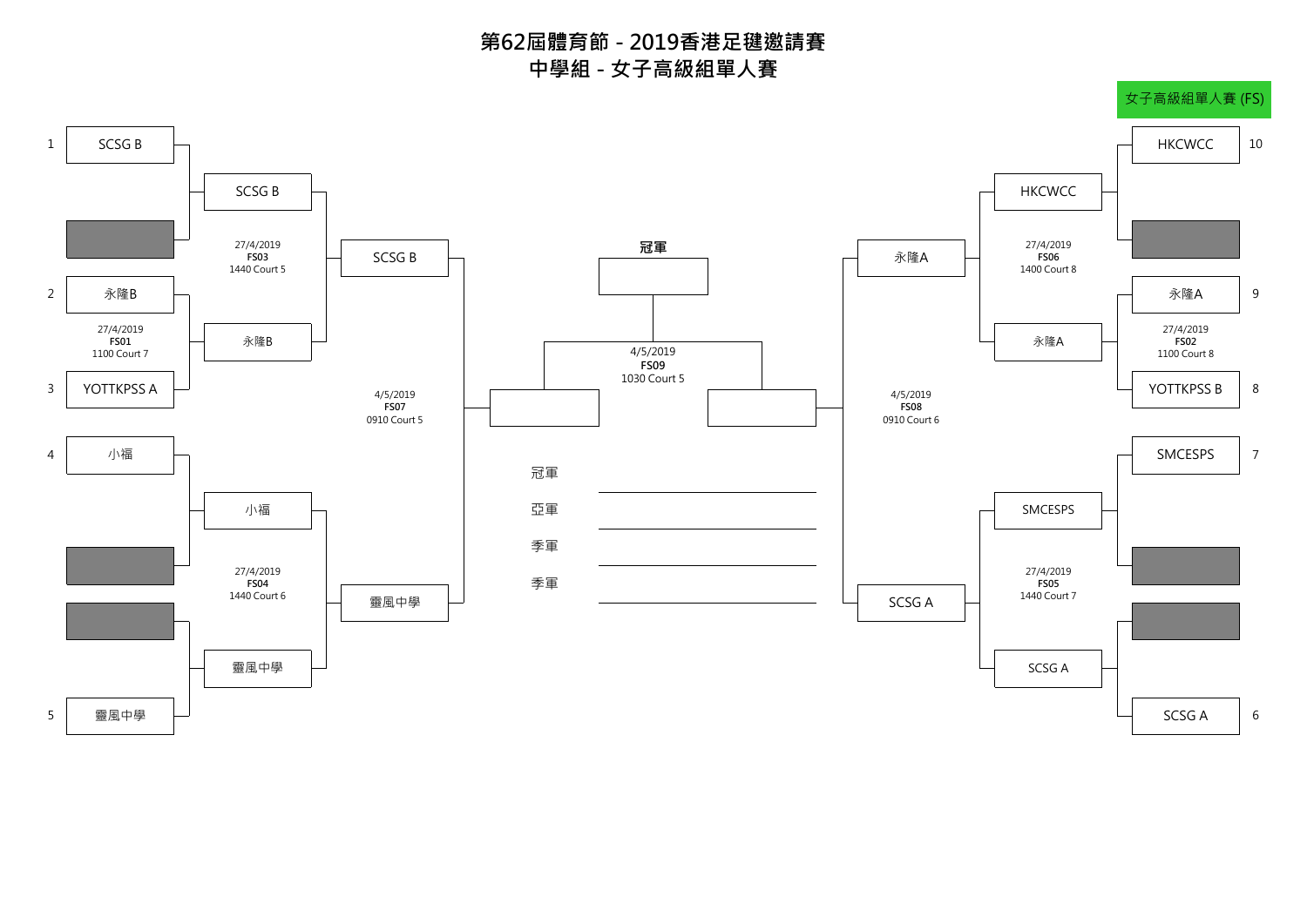**第62屆體育節 - 2019香港足毽邀請賽 中學組 - 女子高級組單人賽**